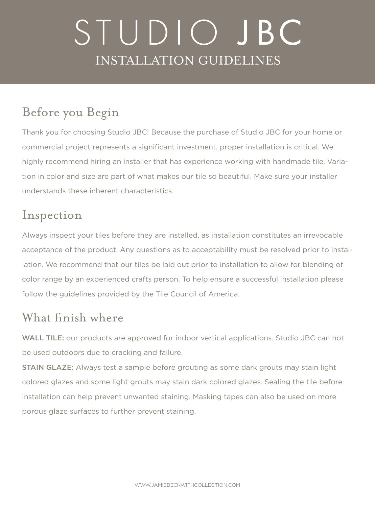# STUDIO JBC INSTALLATION GUIDELINES

#### Before you Begin

Thank you for choosing Studio JBC! Because the purchase of Studio JBC for your home or commercial project represents a significant investment, proper installation is critical. We highly recommend hiring an installer that has experience working with handmade tile. Variation in color and size are part of what makes our tile so beautiful. Make sure your installer understands these inherent characteristics.

#### Inspection

Always inspect your tiles before they are installed, as installation constitutes an irrevocable acceptance of the product. Any questions as to acceptability must be resolved prior to installation. We recommend that our tiles be laid out prior to installation to allow for blending of color range by an experienced crafts person. To help ensure a successful installation please follow the guidelines provided by the Tile Council of America.

#### What finish where

WALL TILE: our products are approved for indoor vertical applications. Studio JBC can not be used outdoors due to cracking and failure.

**STAIN GLAZE:** Always test a sample before grouting as some dark grouts may stain light colored glazes and some light grouts may stain dark colored glazes. Sealing the tile before installation can help prevent unwanted staining. Masking tapes can also be used on more porous glaze surfaces to further prevent staining.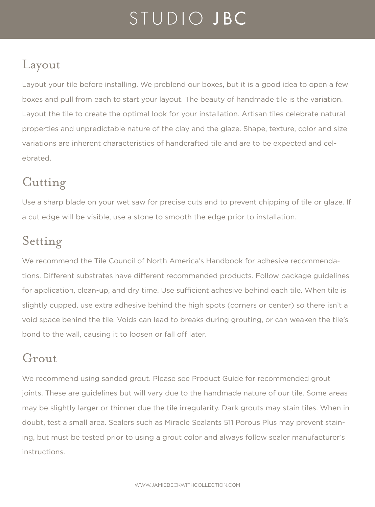## STUDIO JBC

#### Layout

Layout your tile before installing. We preblend our boxes, but it is a good idea to open a few boxes and pull from each to start your layout. The beauty of handmade tile is the variation. Layout the tile to create the optimal look for your installation. Artisan tiles celebrate natural properties and unpredictable nature of the clay and the glaze. Shape, texture, color and size variations are inherent characteristics of handcrafted tile and are to be expected and celebrated.

#### Cutting

Use a sharp blade on your wet saw for precise cuts and to prevent chipping of tile or glaze. If a cut edge will be visible, use a stone to smooth the edge prior to installation.

#### Setting

We recommend the Tile Council of North America's Handbook for adhesive recommendations. Different substrates have different recommended products. Follow package guidelines for application, clean-up, and dry time. Use sufficient adhesive behind each tile. When tile is slightly cupped, use extra adhesive behind the high spots (corners or center) so there isn't a void space behind the tile. Voids can lead to breaks during grouting, or can weaken the tile's bond to the wall, causing it to loosen or fall off later.

#### Grout

We recommend using sanded grout. Please see Product Guide for recommended grout joints. These are guidelines but will vary due to the handmade nature of our tile. Some areas may be slightly larger or thinner due the tile irregularity. Dark grouts may stain tiles. When in doubt, test a small area. Sealers such as Miracle Sealants 511 Porous Plus may prevent staining, but must be tested prior to using a grout color and always follow sealer manufacturer's instructions.